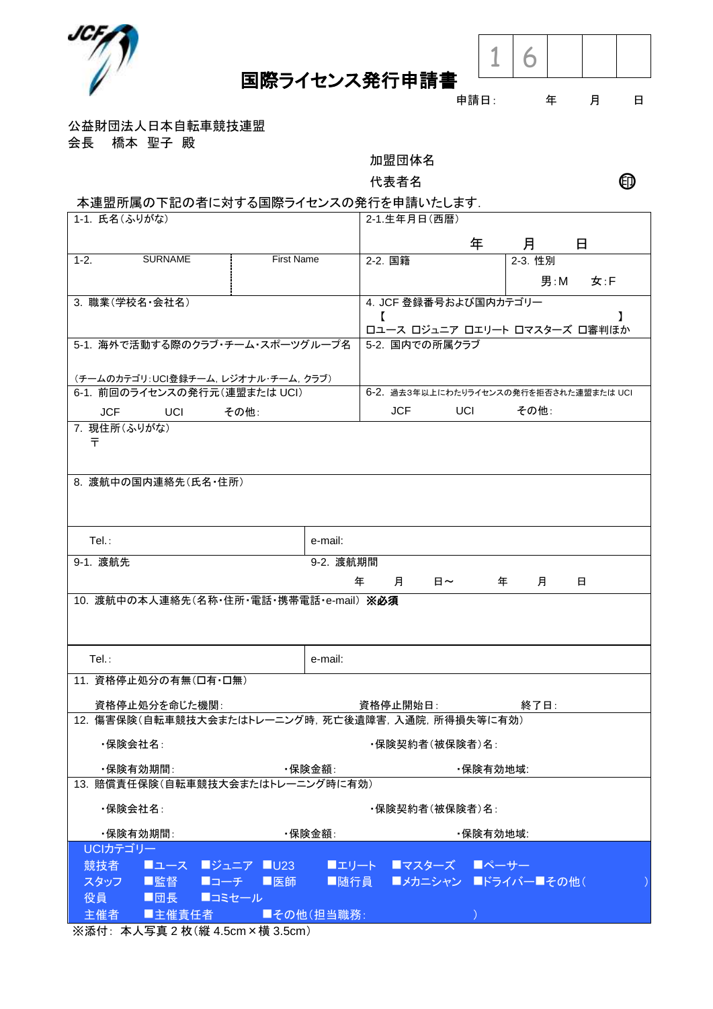



## 申請日: 年 月 日

公益財団法人日本自転車競技連盟

会長 橋本 聖子 殿

加盟団体名

代表者名 ショップ エングル ロンク ロンク ロンク ロンク ロンドウ こうしゃ

## 本連盟所属の下記の者に対する国際ライセンスの発行を申請いたします.

| 1-1. 氏名(ふりがな)                                   |                                        | 2-1.生年月日(西暦)                                  |   |         |     |  |
|-------------------------------------------------|----------------------------------------|-----------------------------------------------|---|---------|-----|--|
|                                                 |                                        |                                               | 年 | 月       | 日   |  |
| <b>SURNAME</b><br>$1-2.$                        | <b>First Name</b>                      | 2-2. 国籍                                       |   | 2-3. 性別 |     |  |
|                                                 |                                        |                                               |   | 男 : M   | 女:F |  |
| 3. 職業(学校名·会社名)                                  |                                        | 4. JCF 登録番号および国内カテゴリー                         |   |         |     |  |
|                                                 |                                        | $\mathbf{r}$<br>ロユース ロジュニア ロエリート ロマスターズ 口審判ほか |   |         |     |  |
| 5-1. 海外で活動する際のクラブ·チーム·スポーツグループ名                 | 5-2. 国内での所属クラブ                         |                                               |   |         |     |  |
| (チームのカテゴリ:UCI登録チーム, レジオナル・チーム, クラブ)             |                                        |                                               |   |         |     |  |
| 6-1. 前回のライセンスの発行元(連盟または UCI)                    | 6-2. 過去3年以上にわたりライセンスの発行を拒否された連盟または UCI |                                               |   |         |     |  |
| <b>Example UCI</b><br>その他:<br>JCF.              | <b>JCF</b><br>UCI <sub>D</sub><br>その他: |                                               |   |         |     |  |
| 7. 現住所(ふりがな)                                    |                                        |                                               |   |         |     |  |
| ᆍ                                               |                                        |                                               |   |         |     |  |
|                                                 |                                        |                                               |   |         |     |  |
| 8. 渡航中の国内連絡先(氏名・住所)                             |                                        |                                               |   |         |     |  |
|                                                 |                                        |                                               |   |         |     |  |
|                                                 |                                        |                                               |   |         |     |  |
| $Tel.$ :                                        | e-mail:                                |                                               |   |         |     |  |
| 9-1. 渡航先                                        | 9-2. 渡航期間                              |                                               |   |         |     |  |
|                                                 |                                        | 年<br>月<br>日~                                  |   | 月<br>年  | 日   |  |
| 10. 渡航中の本人連絡先(名称·住所·電話·携帯電話·e-mail) ※必須         |                                        |                                               |   |         |     |  |
|                                                 |                                        |                                               |   |         |     |  |
|                                                 |                                        |                                               |   |         |     |  |
| Tel.:                                           | e-mail:                                |                                               |   |         |     |  |
| 11. 資格停止処分の有無(口有・口無)                            |                                        |                                               |   |         |     |  |
| 資格停止処分を命じた機関:                                   |                                        |                                               |   | 終了日:    |     |  |
| 12. 傷害保険(自転車競技大会またはトレーニング時,死亡後遺障害,入通院,所得損失等に有効) |                                        |                                               |   |         |     |  |
| ・保険会社名∶                                         |                                        | ・保険契約者(被保険者)名:                                |   |         |     |  |
| ・保険有効期間:<br>・保険金額∶                              |                                        | ・保険有効地域:                                      |   |         |     |  |
| 13. 賠償責任保険(自転車競技大会またはトレーニング時に有効)                |                                        |                                               |   |         |     |  |
| ・保険会社名∶<br>・保険契約者(被保険者)名:                       |                                        |                                               |   |         |     |  |
| ・保険有効期間:<br>・保険金額∶                              |                                        | ・保険有効地域:                                      |   |         |     |  |
| UCIカテゴリー                                        |                                        |                                               |   |         |     |  |
| 競技者<br>■ユース ■ジュニア ■U23 →                        |                                        | ■エリート ■マスターズ ■ペーサー                            |   |         |     |  |
| スタッフ<br>■監督  ■コーチ  ■医師                          |                                        | ■随行員 ■メカニシャン ■ドライバー■その他(                      |   |         |     |  |
| 役員<br>■団長 ■コミセール<br>主催者<br>■主催責任者               | ■その他(担当職務:                             |                                               |   |         |     |  |
|                                                 |                                        |                                               |   |         |     |  |

※添付: 本人写真 2 枚(縦 4.5cm×横 3.5cm)